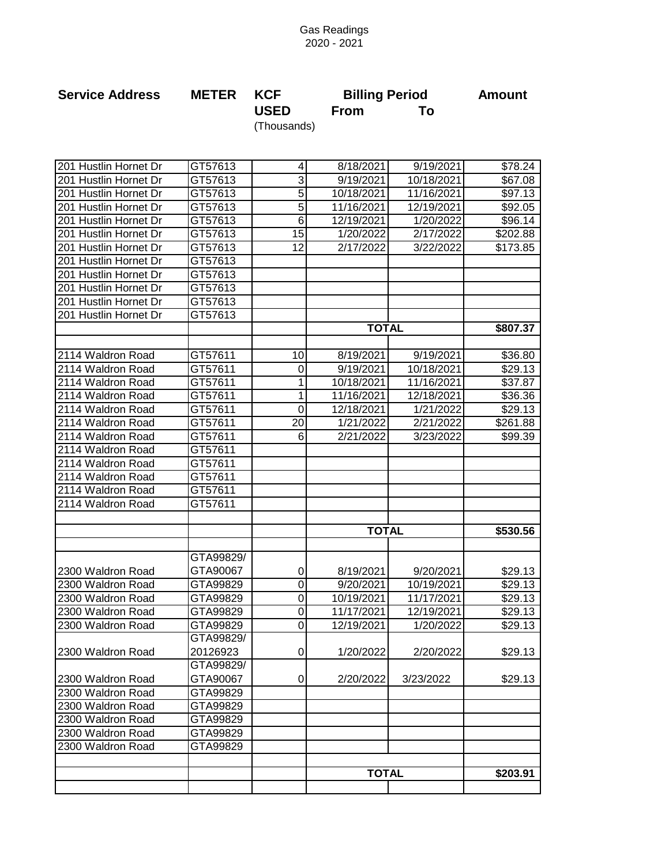## Gas Readings 2020 - 2021

| <b>Service Address</b> | <b>METER</b> | <b>KCF</b>  | <b>Billing Period</b> | Amount |
|------------------------|--------------|-------------|-----------------------|--------|
|                        |              | <b>USED</b> | <b>From</b>           |        |
|                        |              | (Thousands) |                       |        |

| 201 Hustlin Hornet Dr | GT57613   | $\overline{\mathbf{4}}$ | 8/18/2021    | 9/19/2021  | \$78.24  |
|-----------------------|-----------|-------------------------|--------------|------------|----------|
| 201 Hustlin Hornet Dr | GT57613   | $\overline{3}$          | 9/19/2021    | 10/18/2021 | \$67.08  |
| 201 Hustlin Hornet Dr | GT57613   | $\overline{5}$          | 10/18/2021   | 11/16/2021 | \$97.13  |
| 201 Hustlin Hornet Dr | GT57613   | $\overline{5}$          | 11/16/2021   | 12/19/2021 | \$92.05  |
| 201 Hustlin Hornet Dr | GT57613   | 6                       | 12/19/2021   | 1/20/2022  | \$96.14  |
| 201 Hustlin Hornet Dr | GT57613   | $\overline{15}$         | 1/20/2022    | 2/17/2022  | \$202.88 |
| 201 Hustlin Hornet Dr | GT57613   | 12                      | 2/17/2022    | 3/22/2022  | \$173.85 |
| 201 Hustlin Hornet Dr | GT57613   |                         |              |            |          |
| 201 Hustlin Hornet Dr | GT57613   |                         |              |            |          |
| 201 Hustlin Hornet Dr | GT57613   |                         |              |            |          |
| 201 Hustlin Hornet Dr | GT57613   |                         |              |            |          |
| 201 Hustlin Hornet Dr | GT57613   |                         |              |            |          |
|                       |           |                         | <b>TOTAL</b> |            | \$807.37 |
|                       |           |                         |              |            |          |
| 2114 Waldron Road     | GT57611   | 10                      | 8/19/2021    | 9/19/2021  | \$36.80  |
| 2114 Waldron Road     | GT57611   | 0                       | 9/19/2021    | 10/18/2021 | \$29.13  |
| 2114 Waldron Road     | GT57611   | 1                       | 10/18/2021   | 11/16/2021 | \$37.87  |
| 2114 Waldron Road     | GT57611   | 1                       | 11/16/2021   | 12/18/2021 | \$36.36  |
| 2114 Waldron Road     | GT57611   | $\mathbf 0$             | 12/18/2021   | 1/21/2022  | \$29.13  |
| 2114 Waldron Road     | GT57611   | 20                      | 1/21/2022    | 2/21/2022  | \$261.88 |
| 2114 Waldron Road     | GT57611   | 6                       | 2/21/2022    | 3/23/2022  | \$99.39  |
| 2114 Waldron Road     | GT57611   |                         |              |            |          |
| 2114 Waldron Road     | GT57611   |                         |              |            |          |
| 2114 Waldron Road     | GT57611   |                         |              |            |          |
| 2114 Waldron Road     | GT57611   |                         |              |            |          |
| 2114 Waldron Road     | GT57611   |                         |              |            |          |
|                       |           |                         |              |            |          |
|                       |           |                         | <b>TOTAL</b> |            | \$530.56 |
|                       |           |                         |              |            |          |
|                       | GTA99829/ |                         |              |            |          |
| 2300 Waldron Road     | GTA90067  | 0                       | 8/19/2021    | 9/20/2021  | \$29.13  |
| 2300 Waldron Road     | GTA99829  | $\boldsymbol{0}$        | 9/20/2021    | 10/19/2021 | \$29.13  |
| 2300 Waldron Road     | GTA99829  | 0                       | 10/19/2021   | 11/17/2021 | \$29.13  |
| 2300 Waldron Road     | GTA99829  | 0                       | 11/17/2021   | 12/19/2021 | \$29.13  |
| 2300 Waldron Road     | GTA99829  | 0                       | 12/19/2021   | 1/20/2022  | \$29.13  |
|                       | GTA99829/ |                         |              |            |          |
| 2300 Waldron Road     | 20126923  | $\overline{0}$          | 1/20/2022    | 2/20/2022  | \$29.13  |
|                       | GTA99829/ |                         |              |            |          |
| 2300 Waldron Road     | GTA90067  | $\pmb{0}$               | 2/20/2022    | 3/23/2022  | \$29.13  |
| 2300 Waldron Road     | GTA99829  |                         |              |            |          |
| 2300 Waldron Road     | GTA99829  |                         |              |            |          |
| 2300 Waldron Road     | GTA99829  |                         |              |            |          |
| 2300 Waldron Road     | GTA99829  |                         |              |            |          |
| 2300 Waldron Road     | GTA99829  |                         |              |            |          |
|                       |           |                         |              |            |          |
|                       |           |                         | <b>TOTAL</b> |            | \$203.91 |
|                       |           |                         |              |            |          |
|                       |           |                         |              |            |          |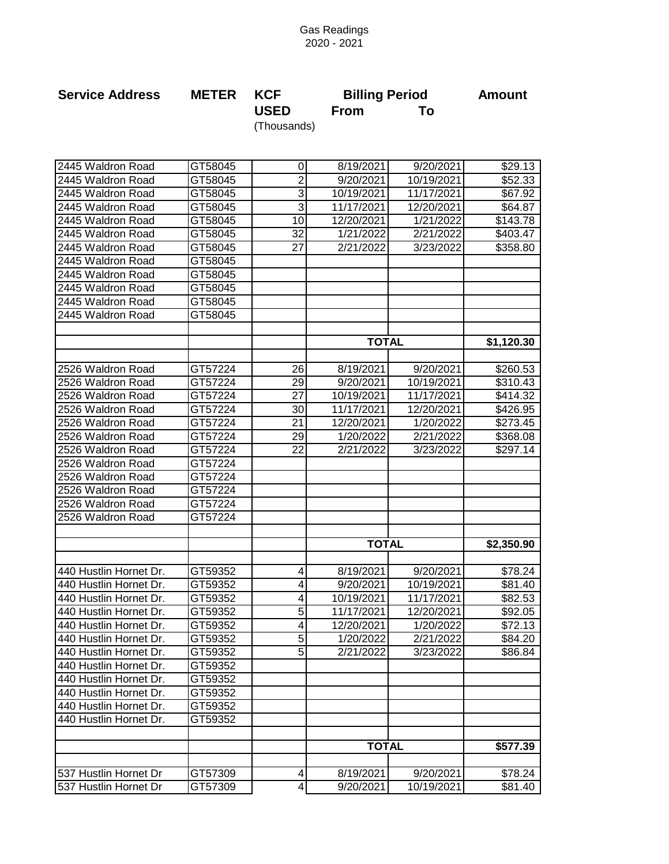## Gas Readings 2020 - 2021

| <b>Service Address</b> | <b>METER KCF</b> |             | <b>Billing Period</b> | <b>Amount</b> |
|------------------------|------------------|-------------|-----------------------|---------------|
|                        |                  | <b>USED</b> | <b>From</b>           |               |
|                        |                  | (Thousands) |                       |               |

| 2445 Waldron Road      | GT58045 | $\mathbf 0$               | 8/19/2021    | 9/20/2021  | \$29.13    |
|------------------------|---------|---------------------------|--------------|------------|------------|
| 2445 Waldron Road      | GT58045 | $\overline{2}$            | 9/20/2021    | 10/19/2021 | \$52.33    |
| 2445 Waldron Road      | GT58045 | $\ensuremath{\mathsf{3}}$ | 10/19/2021   | 11/17/2021 | \$67.92    |
| 2445 Waldron Road      | GT58045 | 3                         | 11/17/2021   | 12/20/2021 | \$64.87    |
| 2445 Waldron Road      | GT58045 | 10                        | 12/20/2021   | 1/21/2022  | \$143.78   |
| 2445 Waldron Road      | GT58045 | $\overline{32}$           | 1/21/2022    | 2/21/2022  | \$403.47   |
| 2445 Waldron Road      | GT58045 | 27                        | 2/21/2022    | 3/23/2022  | \$358.80   |
| 2445 Waldron Road      | GT58045 |                           |              |            |            |
| 2445 Waldron Road      | GT58045 |                           |              |            |            |
| 2445 Waldron Road      | GT58045 |                           |              |            |            |
| 2445 Waldron Road      | GT58045 |                           |              |            |            |
| 2445 Waldron Road      | GT58045 |                           |              |            |            |
|                        |         |                           |              |            |            |
|                        |         |                           | <b>TOTAL</b> |            | \$1,120.30 |
|                        |         |                           |              |            |            |
| 2526 Waldron Road      | GT57224 | 26                        | 8/19/2021    | 9/20/2021  | \$260.53   |
| 2526 Waldron Road      | GT57224 | 29                        | 9/20/2021    | 10/19/2021 | \$310.43   |
| 2526 Waldron Road      | GT57224 | 27                        | 10/19/2021   | 11/17/2021 | \$414.32   |
| 2526 Waldron Road      | GT57224 | 30                        | 11/17/2021   | 12/20/2021 | \$426.95   |
| 2526 Waldron Road      | GT57224 | 21                        | 12/20/2021   | 1/20/2022  | \$273.45   |
| 2526 Waldron Road      | GT57224 | 29                        | 1/20/2022    | 2/21/2022  | \$368.08   |
| 2526 Waldron Road      | GT57224 | 22                        | 2/21/2022    | 3/23/2022  | \$297.14   |
| 2526 Waldron Road      | GT57224 |                           |              |            |            |
| 2526 Waldron Road      | GT57224 |                           |              |            |            |
| 2526 Waldron Road      | GT57224 |                           |              |            |            |
| 2526 Waldron Road      | GT57224 |                           |              |            |            |
| 2526 Waldron Road      | GT57224 |                           |              |            |            |
|                        |         |                           |              |            |            |
|                        |         |                           | <b>TOTAL</b> |            | \$2,350.90 |
|                        |         |                           |              |            |            |
| 440 Hustlin Hornet Dr. | GT59352 | 4                         | 8/19/2021    | 9/20/2021  | \$78.24    |
| 440 Hustlin Hornet Dr. | GT59352 | 4                         | 9/20/2021    | 10/19/2021 | \$81.40    |
| 440 Hustlin Hornet Dr. | GT59352 | 4                         | 10/19/2021   | 11/17/2021 | \$82.53    |
| 440 Hustlin Hornet Dr. | GT59352 | $\overline{5}$            | 11/17/2021   | 12/20/2021 | \$92.05    |
| 440 Hustlin Hornet Dr. | GT59352 | 4                         | 12/20/2021   | 1/20/2022  | \$72.13    |
| 440 Hustlin Hornet Dr. | GT59352 | 5 <sup>1</sup>            | 1/20/2022    | 2/21/2022  | \$84.20    |
| 440 Hustlin Hornet Dr. | GT59352 | 5 <sub>l</sub>            | 2/21/2022    | 3/23/2022  | \$86.84    |
| 440 Hustlin Hornet Dr. | GT59352 |                           |              |            |            |
| 440 Hustlin Hornet Dr. | GT59352 |                           |              |            |            |
| 440 Hustlin Hornet Dr. | GT59352 |                           |              |            |            |
| 440 Hustlin Hornet Dr. | GT59352 |                           |              |            |            |
| 440 Hustlin Hornet Dr. | GT59352 |                           |              |            |            |
|                        |         |                           |              |            |            |
|                        |         |                           | <b>TOTAL</b> |            | \$577.39   |
|                        |         |                           |              |            |            |
| 537 Hustlin Hornet Dr  | GT57309 | 4                         | 8/19/2021    | 9/20/2021  | \$78.24    |
| 537 Hustlin Hornet Dr  | GT57309 | 4                         | 9/20/2021    | 10/19/2021 | \$81.40    |
|                        |         |                           |              |            |            |